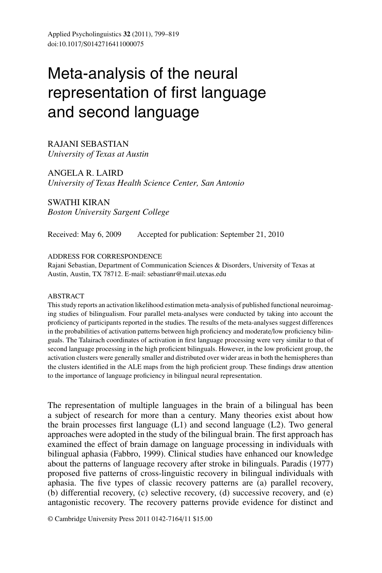# Meta-analysis of the neural representation of first language and second language

RAJANI SEBASTIAN *University of Texas at Austin*

ANGELA R. LAIRD *University of Texas Health Science Center, San Antonio*

SWATHI KIRAN *Boston University Sargent College*

Received: May 6, 2009 Accepted for publication: September 21, 2010

#### ADDRESS FOR CORRESPONDENCE

Rajani Sebastian, Department of Communication Sciences & Disorders, University of Texas at Austin, Austin, TX 78712. E-mail: sebastianr@mail.utexas.edu

#### ABSTRACT

This study reports an activation likelihood estimation meta-analysis of published functional neuroimaging studies of bilingualism. Four parallel meta-analyses were conducted by taking into account the proficiency of participants reported in the studies. The results of the meta-analyses suggest differences in the probabilities of activation patterns between high proficiency and moderate/low proficiency bilinguals. The Talairach coordinates of activation in first language processing were very similar to that of second language processing in the high proficient bilinguals. However, in the low proficient group, the activation clusters were generally smaller and distributed over wider areas in both the hemispheres than the clusters identified in the ALE maps from the high proficient group. These findings draw attention to the importance of language proficiency in bilingual neural representation.

The representation of multiple languages in the brain of a bilingual has been a subject of research for more than a century. Many theories exist about how the brain processes first language (L1) and second language (L2). Two general approaches were adopted in the study of the bilingual brain. The first approach has examined the effect of brain damage on language processing in individuals with bilingual aphasia (Fabbro, 1999). Clinical studies have enhanced our knowledge about the patterns of language recovery after stroke in bilinguals. Paradis (1977) proposed five patterns of cross-linguistic recovery in bilingual individuals with aphasia. The five types of classic recovery patterns are (a) parallel recovery, (b) differential recovery, (c) selective recovery, (d) successive recovery, and (e) antagonistic recovery. The recovery patterns provide evidence for distinct and

© Cambridge University Press 2011 0142-7164/11 \$15.00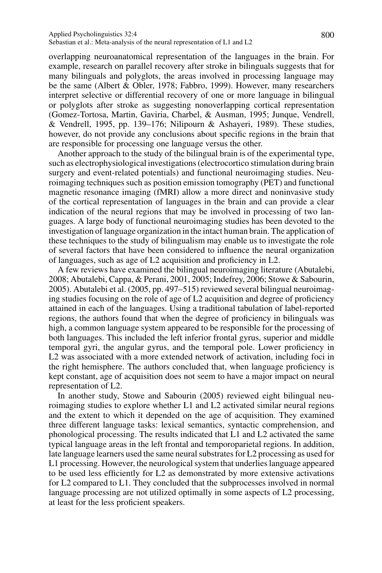overlapping neuroanatomical representation of the languages in the brain. For example, research on parallel recovery after stroke in bilinguals suggests that for many bilinguals and polyglots, the areas involved in processing language may be the same (Albert & Obler, 1978; Fabbro, 1999). However, many researchers interpret selective or differential recovery of one or more language in bilingual or polyglots after stroke as suggesting nonoverlapping cortical representation (Gomez-Tortosa, Martin, Gaviria, Charbel, & Ausman, 1995; Junque, Vendrell, & Vendrell, 1995, pp. 139–176; Nilipourn & Ashayeri, 1989). These studies, however, do not provide any conclusions about specific regions in the brain that are responsible for processing one language versus the other.

Another approach to the study of the bilingual brain is of the experimental type, such as electrophysiological investigations (electrocortico stimulation during brain surgery and event-related potentials) and functional neuroimaging studies. Neuroimaging techniques such as position emission tomography (PET) and functional magnetic resonance imaging (fMRI) allow a more direct and noninvasive study of the cortical representation of languages in the brain and can provide a clear indication of the neural regions that may be involved in processing of two languages. A large body of functional neuroimaging studies has been devoted to the investigation of language organization in the intact human brain. The application of these techniques to the study of bilingualism may enable us to investigate the role of several factors that have been considered to influence the neural organization of languages, such as age of L2 acquisition and proficiency in L2.

A few reviews have examined the bilingual neuroimaging literature (Abutalebi, 2008; Abutalebi, Cappa, & Perani, 2001, 2005; Indefrey, 2006; Stowe & Sabourin, 2005). Abutalebi et al. (2005, pp. 497–515) reviewed several bilingual neuroimaging studies focusing on the role of age of L2 acquisition and degree of proficiency attained in each of the languages. Using a traditional tabulation of label-reported regions, the authors found that when the degree of proficiency in bilinguals was high, a common language system appeared to be responsible for the processing of both languages. This included the left inferior frontal gyrus, superior and middle temporal gyri, the angular gyrus, and the temporal pole. Lower proficiency in L2 was associated with a more extended network of activation, including foci in the right hemisphere. The authors concluded that, when language proficiency is kept constant, age of acquisition does not seem to have a major impact on neural representation of L2.

In another study, Stowe and Sabourin (2005) reviewed eight bilingual neuroimaging studies to explore whether L1 and L2 activated similar neural regions and the extent to which it depended on the age of acquisition. They examined three different language tasks: lexical semantics, syntactic comprehension, and phonological processing. The results indicated that L1 and L2 activated the same typical language areas in the left frontal and temporoparietal regions. In addition, late language learners used the same neural substrates for L2 processing as used for L1 processing. However, the neurological system that underlies language appeared to be used less efficiently for L2 as demonstrated by more extensive activations for L2 compared to L1. They concluded that the subprocesses involved in normal language processing are not utilized optimally in some aspects of L2 processing, at least for the less proficient speakers.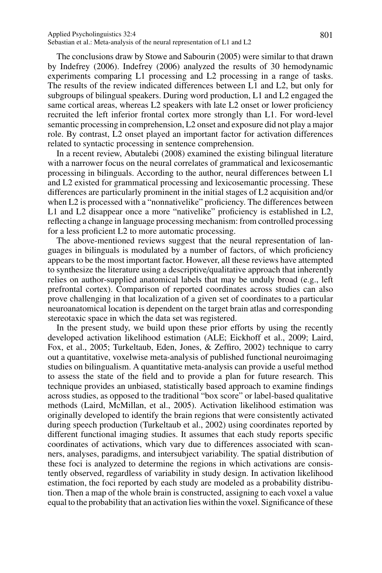#### Applied Psycholinguistics 32:4 801 Sebastian et al.: Meta-analysis of the neural representation of L1 and L2

The conclusions draw by Stowe and Sabourin (2005) were similar to that drawn by Indefrey (2006). Indefrey (2006) analyzed the results of 30 hemodynamic experiments comparing L1 processing and L2 processing in a range of tasks. The results of the review indicated differences between L1 and L2, but only for subgroups of bilingual speakers. During word production, L1 and L2 engaged the same cortical areas, whereas L2 speakers with late L2 onset or lower proficiency recruited the left inferior frontal cortex more strongly than L1. For word-level semantic processing in comprehension, L2 onset and exposure did not play a major role. By contrast, L2 onset played an important factor for activation differences related to syntactic processing in sentence comprehension.

In a recent review, Abutalebi (2008) examined the existing bilingual literature with a narrower focus on the neural correlates of grammatical and lexicosemantic processing in bilinguals. According to the author, neural differences between L1 and L2 existed for grammatical processing and lexicosemantic processing. These differences are particularly prominent in the initial stages of L2 acquisition and/or when L2 is processed with a "nonnativelike" proficiency. The differences between L1 and L2 disappear once a more "nativelike" proficiency is established in L2, reflecting a change in language processing mechanism: from controlled processing for a less proficient L2 to more automatic processing.

The above-mentioned reviews suggest that the neural representation of languages in bilinguals is modulated by a number of factors, of which proficiency appears to be the most important factor. However, all these reviews have attempted to synthesize the literature using a descriptive/qualitative approach that inherently relies on author-supplied anatomical labels that may be unduly broad (e.g., left prefrontal cortex). Comparison of reported coordinates across studies can also prove challenging in that localization of a given set of coordinates to a particular neuroanatomical location is dependent on the target brain atlas and corresponding stereotaxic space in which the data set was registered.

In the present study, we build upon these prior efforts by using the recently developed activation likelihood estimation (ALE; Eickhoff et al., 2009; Laird, Fox, et al., 2005; Turkeltaub, Eden, Jones, & Zeffiro, 2002) technique to carry out a quantitative, voxelwise meta-analysis of published functional neuroimaging studies on bilingualism. A quantitative meta-analysis can provide a useful method to assess the state of the field and to provide a plan for future research. This technique provides an unbiased, statistically based approach to examine findings across studies, as opposed to the traditional "box score" or label-based qualitative methods (Laird, McMillan, et al., 2005). Activation likelihood estimation was originally developed to identify the brain regions that were consistently activated during speech production (Turkeltaub et al., 2002) using coordinates reported by different functional imaging studies. It assumes that each study reports specific coordinates of activations, which vary due to differences associated with scanners, analyses, paradigms, and intersubject variability. The spatial distribution of these foci is analyzed to determine the regions in which activations are consistently observed, regardless of variability in study design. In activation likelihood estimation, the foci reported by each study are modeled as a probability distribution. Then a map of the whole brain is constructed, assigning to each voxel a value equal to the probability that an activation lies within the voxel. Significance of these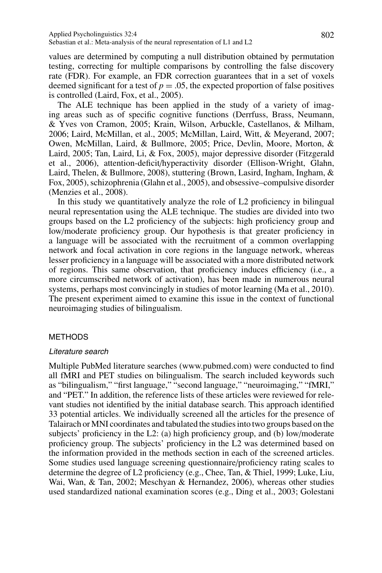values are determined by computing a null distribution obtained by permutation testing, correcting for multiple comparisons by controlling the false discovery rate (FDR). For example, an FDR correction guarantees that in a set of voxels deemed significant for a test of  $p = 0.05$ , the expected proportion of false positives is controlled (Laird, Fox, et al., 2005).

The ALE technique has been applied in the study of a variety of imaging areas such as of specific cognitive functions (Derrfuss, Brass, Neumann, & Yves von Cramon, 2005; Krain, Wilson, Arbuckle, Castellanos, & Milham, 2006; Laird, McMillan, et al., 2005; McMillan, Laird, Witt, & Meyerand, 2007; Owen, McMillan, Laird, & Bullmore, 2005; Price, Devlin, Moore, Morton, & Laird, 2005; Tan, Laird, Li, & Fox, 2005), major depressive disorder (Fitzgerald et al., 2006), attention-deficit/hyperactivity disorder (Ellison-Wright, Glahn, Laird, Thelen, & Bullmore, 2008), stuttering (Brown, Lasird, Ingham, Ingham, & Fox, 2005), schizophrenia (Glahn et al., 2005), and obsessive–compulsive disorder (Menzies et al., 2008).

In this study we quantitatively analyze the role of L2 proficiency in bilingual neural representation using the ALE technique. The studies are divided into two groups based on the L2 proficiency of the subjects: high proficiency group and low/moderate proficiency group. Our hypothesis is that greater proficiency in a language will be associated with the recruitment of a common overlapping network and focal activation in core regions in the language network, whereas lesser proficiency in a language will be associated with a more distributed network of regions. This same observation, that proficiency induces efficiency (i.e., a more circumscribed network of activation), has been made in numerous neural systems, perhaps most convincingly in studies of motor learning (Ma et al., 2010). The present experiment aimed to examine this issue in the context of functional neuroimaging studies of bilingualism.

## **METHODS**

## Literature search

Multiple PubMed literature searches (www.pubmed.com) were conducted to find all fMRI and PET studies on bilingualism. The search included keywords such as "bilingualism," "first language," "second language," "neuroimaging," "fMRI," and "PET." In addition, the reference lists of these articles were reviewed for relevant studies not identified by the initial database search. This approach identified 33 potential articles. We individually screened all the articles for the presence of Talairach or MNI coordinates and tabulated the studies into two groups based on the subjects' proficiency in the L2: (a) high proficiency group, and (b) low/moderate proficiency group. The subjects' proficiency in the L2 was determined based on the information provided in the methods section in each of the screened articles. Some studies used language screening questionnaire/proficiency rating scales to determine the degree of L2 proficiency (e.g., Chee, Tan, & Thiel, 1999; Luke, Liu, Wai, Wan, & Tan, 2002; Meschyan & Hernandez, 2006), whereas other studies used standardized national examination scores (e.g., Ding et al., 2003; Golestani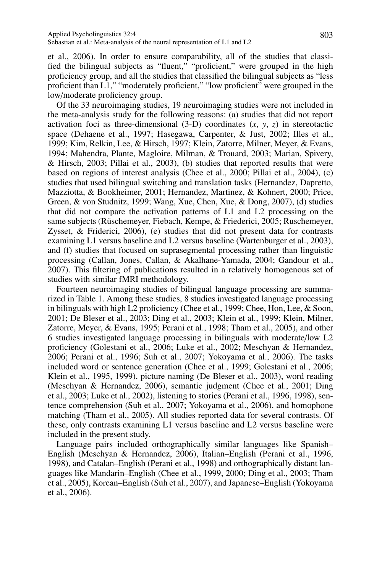et al., 2006). In order to ensure comparability, all of the studies that classified the bilingual subjects as "fluent," "proficient," were grouped in the high proficiency group, and all the studies that classified the bilingual subjects as "less proficient than L1," "moderately proficient," "low proficient" were grouped in the low/moderate proficiency group.

Of the 33 neuroimaging studies, 19 neuroimaging studies were not included in the meta-analysis study for the following reasons: (a) studies that did not report activation foci as three-dimensional  $(3-D)$  coordinates  $(x, y, z)$  in stereotactic space (Dehaene et al., 1997; Hasegawa, Carpenter, & Just, 2002; Illes et al., 1999; Kim, Relkin, Lee, & Hirsch, 1997; Klein, Zatorre, Milner, Meyer, & Evans, 1994; Mahendra, Plante, Magloire, Milman, & Trouard, 2003; Marian, Spivery, & Hirsch, 2003; Pillai et al., 2003), (b) studies that reported results that were based on regions of interest analysis (Chee et al., 2000; Pillai et al., 2004), (c) studies that used bilingual switching and translation tasks (Hernandez, Dapretto, Mazziotta, & Bookheimer, 2001; Hernandez, Martinez, & Kohnert, 2000; Price, Green, & von Studnitz, 1999; Wang, Xue, Chen, Xue, & Dong, 2007), (d) studies that did not compare the activation patterns of L1 and L2 processing on the same subjects (Rüschemeyer, Fiebach, Kempe, & Friederici, 2005; Ruschemeyer, Zysset, & Friderici, 2006), (e) studies that did not present data for contrasts examining L1 versus baseline and L2 versus baseline (Wartenburger et al., 2003), and (f) studies that focused on suprasegmental processing rather than linguistic processing (Callan, Jones, Callan, & Akalhane-Yamada, 2004; Gandour et al., 2007). This filtering of publications resulted in a relatively homogenous set of studies with similar fMRI methodology.

Fourteen neuroimaging studies of bilingual language processing are summarized in Table 1. Among these studies, 8 studies investigated language processing in bilinguals with high L2 proficiency (Chee et al., 1999; Chee, Hon, Lee, & Soon, 2001; De Bleser et al., 2003; Ding et al., 2003; Klein et al., 1999; Klein, Milner, Zatorre, Meyer, & Evans, 1995; Perani et al., 1998; Tham et al., 2005), and other 6 studies investigated language processing in bilinguals with moderate/low L2 proficiency (Golestani et al., 2006; Luke et al., 2002; Meschyan & Hernandez, 2006; Perani et al., 1996; Suh et al., 2007; Yokoyama et al., 2006). The tasks included word or sentence generation (Chee et al., 1999; Golestani et al., 2006; Klein et al., 1995, 1999), picture naming (De Bleser et al., 2003), word reading (Meschyan & Hernandez, 2006), semantic judgment (Chee et al., 2001; Ding et al., 2003; Luke et al., 2002), listening to stories (Perani et al., 1996, 1998), sentence comprehension (Suh et al., 2007; Yokoyama et al., 2006), and homophone matching (Tham et al., 2005). All studies reported data for several contrasts. Of these, only contrasts examining L1 versus baseline and L2 versus baseline were included in the present study.

Language pairs included orthographically similar languages like Spanish– English (Meschyan & Hernandez, 2006), Italian–English (Perani et al., 1996, 1998), and Catalan–English (Perani et al., 1998) and orthographically distant languages like Mandarin–English (Chee et al., 1999, 2000; Ding et al., 2003; Tham et al., 2005), Korean–English (Suh et al., 2007), and Japanese–English (Yokoyama et al., 2006).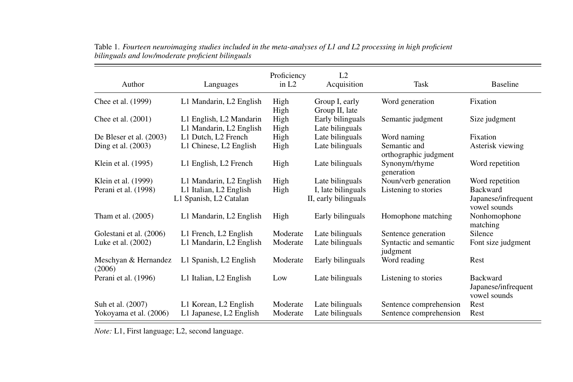| Author                         | Languages               | Proficiency<br>in $L2$ | L2<br>Acquisition    | Task                                  | <b>Baseline</b>                                        |
|--------------------------------|-------------------------|------------------------|----------------------|---------------------------------------|--------------------------------------------------------|
| Chee et al. (1999)             | L1 Mandarin, L2 English | High                   | Group I, early       | Word generation                       | Fixation                                               |
|                                |                         | High                   | Group II, late       |                                       |                                                        |
| Chee et al. (2001)             | L1 English, L2 Mandarin | High                   | Early bilinguals     | Semantic judgment                     | Size judgment                                          |
|                                | L1 Mandarin, L2 English | High                   | Late bilinguals      |                                       |                                                        |
| De Bleser et al. $(2003)$      | L1 Dutch, L2 French     | High                   | Late bilinguals      | Word naming                           | Fixation                                               |
| Ding et al. (2003)             | L1 Chinese, L2 English  | High                   | Late bilinguals      | Semantic and<br>orthographic judgment | Asterisk viewing                                       |
| Klein et al. (1995)            | L1 English, L2 French   | High                   | Late bilinguals      | Synonym/rhyme<br>generation           | Word repetition                                        |
| Klein et al. (1999)            | L1 Mandarin, L2 English | High                   | Late bilinguals      | Noun/verb generation                  | Word repetition                                        |
| Perani et al. (1998)           | L1 Italian, L2 English  | High                   | I, late bilinguals   | Listening to stories                  | <b>Backward</b>                                        |
|                                | L1 Spanish, L2 Catalan  |                        | II, early bilinguals |                                       | Japanese/infrequent<br>vowel sounds                    |
| Tham et al. (2005)             | L1 Mandarin, L2 English | High                   | Early bilinguals     | Homophone matching                    | Nonhomophone<br>matching                               |
| Golestani et al. (2006)        | L1 French, L2 English   | Moderate               | Late bilinguals      | Sentence generation                   | Silence                                                |
| Luke et al. (2002)             | L1 Mandarin, L2 English | Moderate               | Late bilinguals      | Syntactic and semantic<br>judgment    | Font size judgment                                     |
| Meschyan & Hernandez<br>(2006) | L1 Spanish, L2 English  | Moderate               | Early bilinguals     | Word reading                          | Rest                                                   |
| Perani et al. (1996)           | L1 Italian, L2 English  | Low                    | Late bilinguals      | Listening to stories                  | <b>Backward</b><br>Japanese/infrequent<br>vowel sounds |
| Suh et al. (2007)              | L1 Korean, L2 English   | Moderate               | Late bilinguals      | Sentence comprehension                | Rest                                                   |
| Yokoyama et al. (2006)         | L1 Japanese, L2 English | Moderate               | Late bilinguals      | Sentence comprehension                | Rest                                                   |

Table 1. Fourteen neuroimaging studies included in the meta-analyses of L1 and L2 processing in high proficient *bilinguals and low/moderate proficient bilinguals*

*Note:* L1, First language; L2, second language.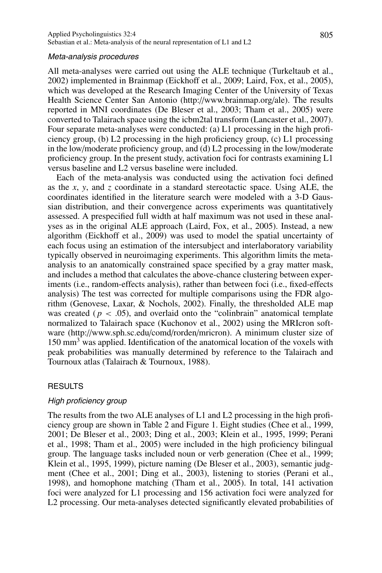#### Meta-analysis procedures

All meta-analyses were carried out using the ALE technique (Turkeltaub et al., 2002) implemented in Brainmap (Eickhoff et al., 2009; Laird, Fox, et al., 2005), which was developed at the Research Imaging Center of the University of Texas Health Science Center San Antonio (http://www.brainmap.org/ale). The results reported in MNI coordinates (De Bleser et al., 2003; Tham et al., 2005) were converted to Talairach space using the icbm2tal transform (Lancaster et al., 2007). Four separate meta-analyses were conducted: (a) L1 processing in the high proficiency group, (b) L2 processing in the high proficiency group, (c) L1 processing in the low/moderate proficiency group, and (d) L2 processing in the low/moderate proficiency group. In the present study, activation foci for contrasts examining L1 versus baseline and L2 versus baseline were included.

Each of the meta-analysis was conducted using the activation foci defined as the *x*, *y*, and *z* coordinate in a standard stereotactic space. Using ALE, the coordinates identified in the literature search were modeled with a 3-D Gaussian distribution, and their convergence across experiments was quantitatively assessed. A prespecified full width at half maximum was not used in these analyses as in the original ALE approach (Laird, Fox, et al., 2005). Instead, a new algorithm (Eickhoff et al., 2009) was used to model the spatial uncertainty of each focus using an estimation of the intersubject and interlaboratory variability typically observed in neuroimaging experiments. This algorithm limits the metaanalysis to an anatomically constrained space specified by a gray matter mask, and includes a method that calculates the above-chance clustering between experiments (i.e., random-effects analysis), rather than between foci (i.e., fixed-effects analysis) The test was corrected for multiple comparisons using the FDR algorithm (Genovese, Laxar, & Nochols, 2002). Finally, the thresholded ALE map was created ( $p < .05$ ), and overlaid onto the "colinbrain" anatomical template normalized to Talairach space (Kuchonov et al., 2002) using the MRIcron software (http://www.sph.sc.edu/comd/rorden/mricron). A minimum cluster size of  $150 \text{ mm}^3$  was applied. Identification of the anatomical location of the voxels with peak probabilities was manually determined by reference to the Talairach and Tournoux atlas (Talairach & Tournoux, 1988).

## RESULTS

#### High proficiency group

The results from the two ALE analyses of L1 and L2 processing in the high proficiency group are shown in Table 2 and Figure 1. Eight studies (Chee et al., 1999, 2001; De Bleser et al., 2003; Ding et al., 2003; Klein et al., 1995, 1999; Perani et al., 1998; Tham et al., 2005) were included in the high proficiency bilingual group. The language tasks included noun or verb generation (Chee et al., 1999; Klein et al., 1995, 1999), picture naming (De Bleser et al., 2003), semantic judgment (Chee et al., 2001; Ding et al., 2003), listening to stories (Perani et al., 1998), and homophone matching (Tham et al., 2005). In total, 141 activation foci were analyzed for L1 processing and 156 activation foci were analyzed for L2 processing. Our meta-analyses detected significantly elevated probabilities of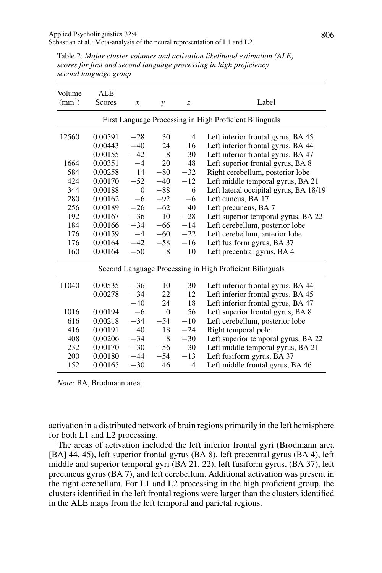| Volume<br>$\text{(mm}^3)$                                | <b>ALE</b><br>Scores | $\boldsymbol{x}$ | $\mathcal{Y}$  | $\mathcal{Z}$  | Label                                  |  |  |
|----------------------------------------------------------|----------------------|------------------|----------------|----------------|----------------------------------------|--|--|
| First Language Processing in High Proficient Bilinguals  |                      |                  |                |                |                                        |  |  |
| 12560                                                    | 0.00591              | $-28$            | 30             | $\overline{4}$ | Left inferior frontal gyrus, BA 45     |  |  |
|                                                          | 0.00443              | $-40$            | 24             | 16             | Left inferior frontal gyrus, BA 44     |  |  |
|                                                          | 0.00155              | $-42$            | 8              | 30             | Left inferior frontal gyrus, BA 47     |  |  |
| 1664                                                     | 0.00351              | $-4$             | 20             | 48             | Left superior frontal gyrus, BA 8      |  |  |
| 584                                                      | 0.00258              | 14               | $-80$          | $-32$          | Right cerebellum, posterior lobe       |  |  |
| 424                                                      | 0.00170              | $-52$            | $-40$          | $-12$          | Left middle temporal gyrus, BA 21      |  |  |
| 344                                                      | 0.00188              | $\overline{0}$   | $-88$          | 6              | Left lateral occipital gyrus, BA 18/19 |  |  |
| 280                                                      | 0.00162              | $-6$             | $-92$          | $-6$           | Left cuneus, BA 17                     |  |  |
| 256                                                      | 0.00189              | $-26$            | $-62$          | 40             | Left precuneus, BA 7                   |  |  |
| 192                                                      | 0.00167              | $-36$            | 10             | $-28$          | Left superior temporal gyrus, BA 22    |  |  |
| 184                                                      | 0.00166              | $-34$            | $-66$          | $-14$          | Left cerebellum, posterior lobe        |  |  |
| 176                                                      | 0.00159              | $-4$             | $-60$          | $-22$          | Left cerebellum, anterior lobe         |  |  |
| 176                                                      | 0.00164              | $-42$            | $-58$          | $-16$          | Left fusiform gyrus, BA 37             |  |  |
| 160                                                      | 0.00164              | $-50$            | 8              | 10             | Left precentral gyrus, BA 4            |  |  |
| Second Language Processing in High Proficient Bilinguals |                      |                  |                |                |                                        |  |  |
| 11040                                                    | 0.00535              | $-36$            | 10             | 30             | Left inferior frontal gyrus, BA 44     |  |  |
|                                                          | 0.00278              | $-34$            | 22             | 12             | Left inferior frontal gyrus, BA 45     |  |  |
|                                                          |                      | $-40$            | 24             | 18             | Left inferior frontal gyrus, BA 47     |  |  |
| 1016                                                     | 0.00194              | $-6$             | $\overline{0}$ | 56             | Left superior frontal gyrus, BA 8      |  |  |
| 616                                                      | 0.00218              | $-34$            | $-54$          | $-10$          | Left cerebellum, posterior lobe        |  |  |
| 416                                                      | 0.00191              | 40               | 18             | $-24$          | Right temporal pole                    |  |  |
| 408                                                      | 0.00206              | $-34$            | 8              | $-30$          | Left superior temporal gyrus, BA 22    |  |  |
| 232                                                      | 0.00170              | $-30$            | $-56$          | 30             | Left middle temporal gyrus, BA 21      |  |  |
| 200                                                      | 0.00180              | $-44$            | $-54$          | $-13$          | Left fusiform gyrus, BA 37             |  |  |
| 152                                                      | 0.00165              | $-30$            | 46             | $\overline{4}$ | Left middle frontal gyrus, BA 46       |  |  |
|                                                          |                      |                  |                |                |                                        |  |  |

Table 2. *Major cluster volumes and activation likelihood estimation (ALE) scores for first and second language processing in high proficiency second language group*

*Note:* BA, Brodmann area.

activation in a distributed network of brain regions primarily in the left hemisphere for both L1 and L2 processing.

The areas of activation included the left inferior frontal gyri (Brodmann area [BA] 44, 45), left superior frontal gyrus (BA 8), left precentral gyrus (BA 4), left middle and superior temporal gyri (BA 21, 22), left fusiform gyrus, (BA 37), left precuneus gyrus (BA 7), and left cerebellum. Additional activation was present in the right cerebellum. For L1 and L2 processing in the high proficient group, the clusters identified in the left frontal regions were larger than the clusters identified in the ALE maps from the left temporal and parietal regions.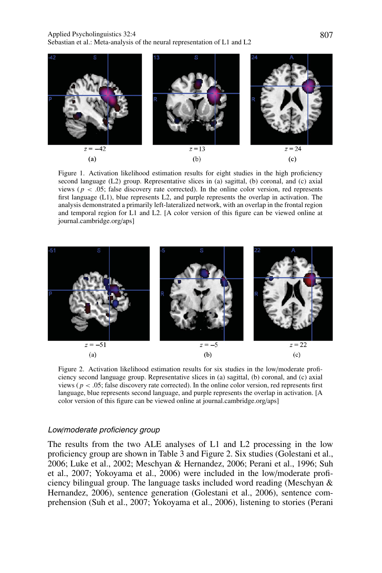#### Applied Psycholinguistics 32:4 807 Sebastian et al.: Meta-analysis of the neural representation of L1 and L2



Figure 1. Activation likelihood estimation results for eight studies in the high proficiency second language (L2) group. Representative slices in (a) sagittal, (b) coronal, and (c) axial views ( $p < .05$ ; false discovery rate corrected). In the online color version, red represents first language (L1), blue represents L2, and purple represents the overlap in activation. The analysis demonstrated a primarily left-lateralized network, with an overlap in the frontal region and temporal region for L1 and L2. [A color version of this figure can be viewed online at journal.cambridge.org/aps]



Figure 2. Activation likelihood estimation results for six studies in the low/moderate proficiency second language group. Representative slices in (a) sagittal, (b) coronal, and (c) axial views ( $p < .05$ ; false discovery rate corrected). In the online color version, red represents first language, blue represents second language, and purple represents the overlap in activation. [A color version of this figure can be viewed online at journal.cambridge.org/aps]

### Low/moderate proficiency group

The results from the two ALE analyses of L1 and L2 processing in the low proficiency group are shown in Table 3 and Figure 2. Six studies (Golestani et al., 2006; Luke et al., 2002; Meschyan & Hernandez, 2006; Perani et al., 1996; Suh et al., 2007; Yokoyama et al., 2006) were included in the low/moderate proficiency bilingual group. The language tasks included word reading (Meschyan & Hernandez, 2006), sentence generation (Golestani et al., 2006), sentence comprehension (Suh et al., 2007; Yokoyama et al., 2006), listening to stories (Perani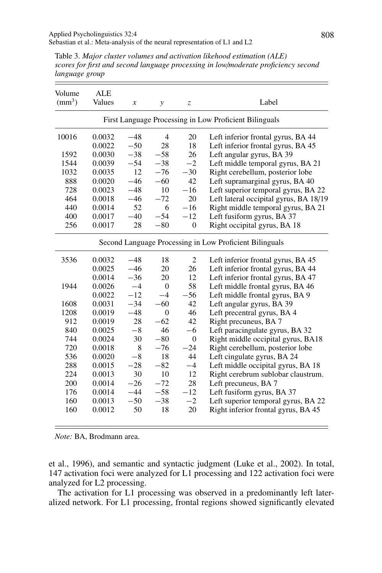Table 3. *Major cluster volumes and activation likehood estimation (ALE) scores for first and second language processing in low*/*moderate proficiency second language group*

| Volume<br>$\text{(mm}^3)$                               | <b>ALE</b><br>Values | $\boldsymbol{x}$ | $\mathcal{Y}$  | Z.             | Label                                  |  |  |
|---------------------------------------------------------|----------------------|------------------|----------------|----------------|----------------------------------------|--|--|
| First Language Processing in Low Proficient Bilinguals  |                      |                  |                |                |                                        |  |  |
| 10016                                                   | 0.0032               | $-48$            | $\overline{4}$ | 20             | Left inferior frontal gyrus, BA 44     |  |  |
|                                                         | 0.0022               | $-50$            | 28             | 18             | Left inferior frontal gyrus, BA 45     |  |  |
| 1592                                                    | 0.0030               | $-38$            | $-58$          | 26             | Left angular gyrus, BA 39              |  |  |
| 1544                                                    | 0.0039               | $-54$            | $-38$          | $-2$           | Left middle temporal gyrus, BA 21      |  |  |
| 1032                                                    | 0.0035               | 12               | $-76$          | $-30$          | Right cerebellum, posterior lobe       |  |  |
| 888                                                     | 0.0020               | $-46$            | $-60$          | 42             | Left supramarginal gyrus, BA 40        |  |  |
| 728                                                     | 0.0023               | $-48$            | 10             | $-16$          | Left superior temporal gyrus, BA 22    |  |  |
| 464                                                     | 0.0018               | $-46$            | $-72$          | 20             | Left lateral occipital gyrus, BA 18/19 |  |  |
| 440                                                     | 0.0014               | 52               | 6              | $-16$          | Right middle temporal gyrus, BA 21     |  |  |
| 400                                                     | 0.0017               | $-40$            | $-54$          | $-12$          | Left fusiform gyrus, BA 37             |  |  |
| 256                                                     | 0.0017               | 28               | $-80$          | $\overline{0}$ | Right occipital gyrus, BA 18           |  |  |
| Second Language Processing in Low Proficient Bilinguals |                      |                  |                |                |                                        |  |  |
| 3536                                                    | 0.0032               | $-48$            | 18             | $\overline{c}$ | Left inferior frontal gyrus, BA 45     |  |  |
|                                                         | 0.0025               | $-46$            | 20             | 26             | Left inferior frontal gyrus, BA 44     |  |  |
|                                                         | 0.0014               | $-36$            | 20             | 12             | Left inferior frontal gyrus, BA 47     |  |  |
| 1944                                                    | 0.0026               | $-4$             | $\Omega$       | 58             | Left middle frontal gyrus, BA 46       |  |  |
|                                                         | 0.0022               | $-12$            | $-4$           | $-56$          | Left middle frontal gyrus, BA 9        |  |  |
| 1608                                                    | 0.0031               | $-34$            | $-60$          | 42             | Left angular gyrus, BA 39              |  |  |
| 1208                                                    | 0.0019               | $-48$            | $\Omega$       | 46             | Left precentral gyrus, BA 4            |  |  |
| 912                                                     | 0.0019               | 28               | $-62$          | 42             | Right precuneus, BA 7                  |  |  |
| 840                                                     | 0.0025               | $-8$             | 46             | $-6$           | Left paracingulate gyrus, BA 32        |  |  |
| 744                                                     | 0.0024               | 30               | $-80$          | $\Omega$       | Right middle occipital gyrus, BA18     |  |  |
| 720                                                     | 0.0018               | 8                | $-76$          | $-24$          | Right cerebellum, posterior lobe       |  |  |
| 536                                                     | 0.0020               | $-8$             | 18             | 44             | Left cingulate gyrus, BA 24            |  |  |
| 288                                                     | 0.0015               | $-28$            | $-82$          | $-4$           | Left middle occipital gyrus, BA 18     |  |  |
| 224                                                     | 0.0013               | 30               | 10             | 12             | Right cerebrum sublobar claustrum.     |  |  |
| 200                                                     | 0.0014               | $-26$            | $-72$          | 28             | Left precuneus, BA 7                   |  |  |
| 176                                                     | 0.0014               | $-44$            | $-58$          | $-12$          | Left fusiform gyrus, BA 37             |  |  |
| 160                                                     | 0.0013               | $-50$            | $-38$          | $-2$           | Left superior temporal gyrus, BA 22    |  |  |
| 160                                                     | 0.0012               | 50               | 18             | 20             | Right inferior frontal gyrus, BA 45    |  |  |

*Note:* BA, Brodmann area.

et al., 1996), and semantic and syntactic judgment (Luke et al., 2002). In total, 147 activation foci were analyzed for L1 processing and 122 activation foci were analyzed for L2 processing.

The activation for L1 processing was observed in a predominantly left lateralized network. For L1 processing, frontal regions showed significantly elevated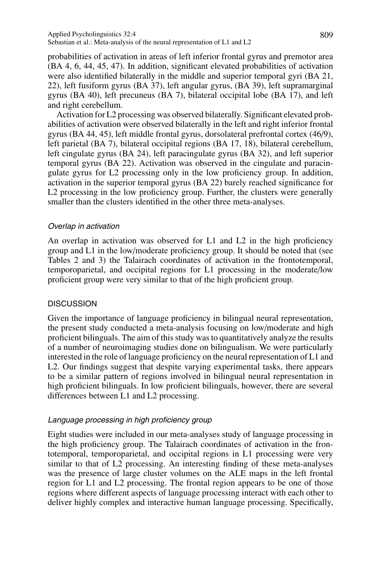probabilities of activation in areas of left inferior frontal gyrus and premotor area (BA 4, 6, 44, 45, 47). In addition, significant elevated probabilities of activation were also identified bilaterally in the middle and superior temporal gyri (BA 21, 22), left fusiform gyrus (BA 37), left angular gyrus, (BA 39), left supramarginal gyrus (BA 40), left precuneus (BA 7), bilateral occipital lobe (BA 17), and left and right cerebellum.

Activation for L2 processing was observed bilaterally. Significant elevated probabilities of activation were observed bilaterally in the left and right inferior frontal gyrus (BA 44, 45), left middle frontal gyrus, dorsolateral prefrontal cortex (46/9), left parietal (BA 7), bilateral occipital regions (BA 17, 18), bilateral cerebellum, left cingulate gyrus (BA 24), left paracingulate gyrus (BA 32), and left superior temporal gyrus (BA 22). Activation was observed in the cingulate and paracingulate gyrus for L2 processing only in the low proficiency group. In addition, activation in the superior temporal gyrus (BA 22) barely reached significance for L<sub>2</sub> processing in the low proficiency group. Further, the clusters were generally smaller than the clusters identified in the other three meta-analyses.

## Overlap in activation

An overlap in activation was observed for L1 and L2 in the high proficiency group and L1 in the low/moderate proficiency group. It should be noted that (see Tables 2 and 3) the Talairach coordinates of activation in the frontotemporal, temporoparietal, and occipital regions for L1 processing in the moderate/low proficient group were very similar to that of the high proficient group.

# **DISCUSSION**

Given the importance of language proficiency in bilingual neural representation, the present study conducted a meta-analysis focusing on low/moderate and high proficient bilinguals. The aim of this study was to quantitatively analyze the results of a number of neuroimaging studies done on bilingualism. We were particularly interested in the role of language proficiency on the neural representation of L1 and L2. Our findings suggest that despite varying experimental tasks, there appears to be a similar pattern of regions involved in bilingual neural representation in high proficient bilinguals. In low proficient bilinguals, however, there are several differences between L1 and L2 processing.

# Language processing in high proficiency group

Eight studies were included in our meta-analyses study of language processing in the high proficiency group. The Talairach coordinates of activation in the frontotemporal, temporoparietal, and occipital regions in L1 processing were very similar to that of L2 processing. An interesting finding of these meta-analyses was the presence of large cluster volumes on the ALE maps in the left frontal region for L1 and L2 processing. The frontal region appears to be one of those regions where different aspects of language processing interact with each other to deliver highly complex and interactive human language processing. Specifically,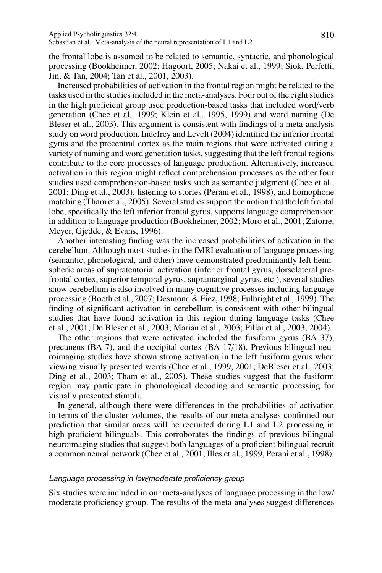the frontal lobe is assumed to be related to semantic, syntactic, and phonological processing (Bookheimer, 2002; Hagoort, 2005; Nakai et al., 1999; Siok, Perfetti, Jin, & Tan, 2004; Tan et al., 2001, 2003).

Increased probabilities of activation in the frontal region might be related to the tasks used in the studies included in the meta-analyses. Four out of the eight studies in the high proficient group used production-based tasks that included word/verb generation (Chee et al., 1999; Klein et al., 1995, 1999) and word naming (De Bleser et al., 2003). This argument is consistent with findings of a meta-analysis study on word production. Indefrey and Levelt (2004) identified the inferior frontal gyrus and the precentral cortex as the main regions that were activated during a variety of naming and word generation tasks, suggesting that the left frontal regions contribute to the core processes of language production. Alternatively, increased activation in this region might reflect comprehension processes as the other four studies used comprehension-based tasks such as semantic judgment (Chee et al., 2001; Ding et al., 2003), listening to stories (Perani et al., 1998), and homophone matching (Tham et al., 2005). Several studies support the notion that the left frontal lobe, specifically the left inferior frontal gyrus, supports language comprehension in addition to language production (Bookheimer, 2002; Moro et al., 2001; Zatorre, Meyer, Gjedde, & Evans, 1996).

Another interesting finding was the increased probabilities of activation in the cerebellum. Although most studies in the fMRI evaluation of language processing (semantic, phonological, and other) have demonstrated predominantly left hemispheric areas of supratentorial activation (inferior frontal gyrus, dorsolateral prefrontal cortex, superior temporal gyrus, supramarginal gyrus, etc.), several studies show cerebellum is also involved in many cognitive processes including language processing (Booth et al., 2007; Desmond & Fiez, 1998; Fulbright et al.*,* 1999). The finding of significant activation in cerebellum is consistent with other bilingual studies that have found activation in this region during language tasks (Chee et al., 2001; De Bleser et al., 2003; Marian et al., 2003; Pillai et al., 2003, 2004).

The other regions that were activated included the fusiform gyrus (BA 37), precuneus (BA 7), and the occipital cortex (BA 17/18). Previous bilingual neuroimaging studies have shown strong activation in the left fusiform gyrus when viewing visually presented words (Chee et al., 1999, 2001; DeBleser et al., 2003; Ding et al., 2003; Tham et al., 2005). These studies suggest that the fusiform region may participate in phonological decoding and semantic processing for visually presented stimuli.

In general, although there were differences in the probabilities of activation in terms of the cluster volumes, the results of our meta-analyses confirmed our prediction that similar areas will be recruited during L1 and L2 processing in high proficient bilinguals. This corroborates the findings of previous bilingual neuroimaging studies that suggest both languages of a proficient bilingual recruit a common neural network (Chee et al., 2001; Illes et al., 1999, Perani et al., 1998).

## Language processing in low/moderate proficiency group

Six studies were included in our meta-analyses of language processing in the low/ moderate proficiency group. The results of the meta-analyses suggest differences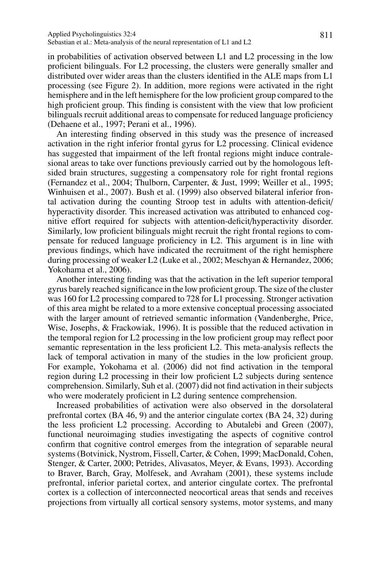in probabilities of activation observed between L1 and L2 processing in the low proficient bilinguals. For L2 processing, the clusters were generally smaller and distributed over wider areas than the clusters identified in the ALE maps from L1 processing (see Figure 2). In addition, more regions were activated in the right hemisphere and in the left hemisphere for the low proficient group compared to the high proficient group. This finding is consistent with the view that low proficient bilinguals recruit additional areas to compensate for reduced language proficiency (Dehaene et al., 1997; Perani et al., 1996).

An interesting finding observed in this study was the presence of increased activation in the right inferior frontal gyrus for L2 processing. Clinical evidence has suggested that impairment of the left frontal regions might induce contralesional areas to take over functions previously carried out by the homologous leftsided brain structures, suggesting a compensatory role for right frontal regions (Fernandez et al., 2004; Thulborn, Carpenter, & Just, 1999; Weiller et al., 1995; Winhuisen et al., 2007). Bush et al. (1999) also observed bilateral inferior frontal activation during the counting Stroop test in adults with attention-deficit/ hyperactivity disorder. This increased activation was attributed to enhanced cognitive effort required for subjects with attention-deficit/hyperactivity disorder. Similarly, low proficient bilinguals might recruit the right frontal regions to compensate for reduced language proficiency in L2. This argument is in line with previous findings, which have indicated the recruitment of the right hemisphere during processing of weaker L2 (Luke et al., 2002; Meschyan & Hernandez, 2006; Yokohama et al., 2006).

Another interesting finding was that the activation in the left superior temporal gyrus barely reached significance in the low proficient group. The size of the cluster was 160 for L2 processing compared to 728 for L1 processing. Stronger activation of this area might be related to a more extensive conceptual processing associated with the larger amount of retrieved semantic information (Vandenberghe, Price, Wise, Josephs, & Frackowiak, 1996). It is possible that the reduced activation in the temporal region for L2 processing in the low proficient group may reflect poor semantic representation in the less proficient L2. This meta-analysis reflects the lack of temporal activation in many of the studies in the low proficient group. For example, Yokohama et al. (2006) did not find activation in the temporal region during L2 processing in their low proficient L2 subjects during sentence comprehension. Similarly, Suh et al. (2007) did not find activation in their subjects who were moderately proficient in L2 during sentence comprehension.

Increased probabilities of activation were also observed in the dorsolateral prefrontal cortex (BA 46, 9) and the anterior cingulate cortex (BA 24, 32) during the less proficient L2 processing. According to Abutalebi and Green (2007), functional neuroimaging studies investigating the aspects of cognitive control confirm that cognitive control emerges from the integration of separable neural systems (Botvinick, Nystrom, Fissell, Carter, & Cohen, 1999; MacDonald, Cohen, Stenger, & Carter, 2000; Petrides, Alivasatos, Meyer, & Evans, 1993). According to Braver, Barch, Gray, Molfesek, and Avraham (2001), these systems include prefrontal, inferior parietal cortex, and anterior cingulate cortex. The prefrontal cortex is a collection of interconnected neocortical areas that sends and receives projections from virtually all cortical sensory systems, motor systems, and many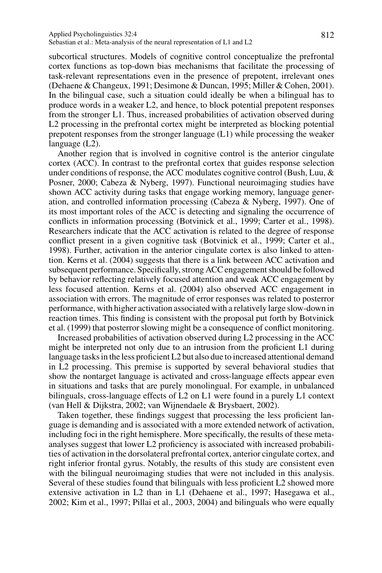subcortical structures. Models of cognitive control conceptualize the prefrontal cortex functions as top-down bias mechanisms that facilitate the processing of task-relevant representations even in the presence of prepotent, irrelevant ones (Dehaene & Changeux, 1991; Desimone & Duncan, 1995; Miller & Cohen, 2001). In the bilingual case, such a situation could ideally be when a bilingual has to produce words in a weaker L2, and hence, to block potential prepotent responses from the stronger L1. Thus, increased probabilities of activation observed during L2 processing in the prefrontal cortex might be interpreted as blocking potential prepotent responses from the stronger language (L1) while processing the weaker language (L2).

Another region that is involved in cognitive control is the anterior cingulate cortex (ACC). In contrast to the prefrontal cortex that guides response selection under conditions of response, the ACC modulates cognitive control (Bush, Luu,  $\&$ Posner, 2000; Cabeza & Nyberg, 1997). Functional neuroimaging studies have shown ACC activity during tasks that engage working memory, language generation, and controlled information processing (Cabeza & Nyberg, 1997). One of its most important roles of the ACC is detecting and signaling the occurrence of conflicts in information processing (Botvinick et al., 1999; Carter et al., 1998). Researchers indicate that the ACC activation is related to the degree of response conflict present in a given cognitive task (Botvinick et al., 1999; Carter et al., 1998). Further, activation in the anterior cingulate cortex is also linked to attention. Kerns et al. (2004) suggests that there is a link between ACC activation and subsequent performance. Specifically, strong ACC engagement should be followed by behavior reflecting relatively focused attention and weak ACC engagement by less focused attention. Kerns et al. (2004) also observed ACC engagement in association with errors. The magnitude of error responses was related to posterror performance, with higher activation associated with a relatively large slow-down in reaction times. This finding is consistent with the proposal put forth by Botvinick et al. (1999) that posterror slowing might be a consequence of conflict monitoring.

Increased probabilities of activation observed during L2 processing in the ACC might be interpreted not only due to an intrusion from the proficient L1 during language tasks in the less proficient L2 but also due to increased attentional demand in L2 processing. This premise is supported by several behavioral studies that show the nontarget language is activated and cross-language effects appear even in situations and tasks that are purely monolingual. For example, in unbalanced bilinguals, cross-language effects of L2 on L1 were found in a purely L1 context (van Hell & Dijkstra, 2002; van Wijnendaele & Brysbaert, 2002).

Taken together, these findings suggest that processing the less proficient language is demanding and is associated with a more extended network of activation, including foci in the right hemisphere. More specifically, the results of these metaanalyses suggest that lower L2 proficiency is associated with increased probabilities of activation in the dorsolateral prefrontal cortex, anterior cingulate cortex, and right inferior frontal gyrus. Notably, the results of this study are consistent even with the bilingual neuroimaging studies that were not included in this analysis. Several of these studies found that bilinguals with less proficient L2 showed more extensive activation in L2 than in L1 (Dehaene et al., 1997; Hasegawa et al., 2002; Kim et al., 1997; Pillai et al., 2003, 2004) and bilinguals who were equally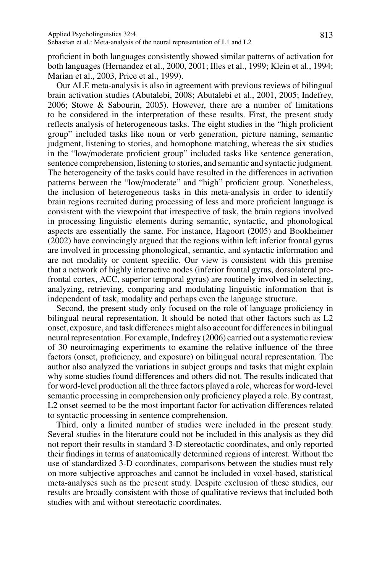proficient in both languages consistently showed similar patterns of activation for both languages (Hernandez et al., 2000, 2001; Illes et al., 1999; Klein et al., 1994; Marian et al., 2003, Price et al., 1999).

Our ALE meta-analysis is also in agreement with previous reviews of bilingual brain activation studies (Abutalebi, 2008; Abutalebi et al., 2001, 2005; Indefrey, 2006; Stowe & Sabourin, 2005). However, there are a number of limitations to be considered in the interpretation of these results. First, the present study reflects analysis of heterogeneous tasks. The eight studies in the "high proficient group" included tasks like noun or verb generation, picture naming, semantic judgment, listening to stories, and homophone matching, whereas the six studies in the "low/moderate proficient group" included tasks like sentence generation, sentence comprehension, listening to stories, and semantic and syntactic judgment. The heterogeneity of the tasks could have resulted in the differences in activation patterns between the "low/moderate" and "high" proficient group. Nonetheless, the inclusion of heterogeneous tasks in this meta-analysis in order to identify brain regions recruited during processing of less and more proficient language is consistent with the viewpoint that irrespective of task, the brain regions involved in processing linguistic elements during semantic, syntactic, and phonological aspects are essentially the same. For instance, Hagoort (2005) and Bookheimer (2002) have convincingly argued that the regions within left inferior frontal gyrus are involved in processing phonological, semantic, and syntactic information and are not modality or content specific. Our view is consistent with this premise that a network of highly interactive nodes (inferior frontal gyrus, dorsolateral prefrontal cortex, ACC, superior temporal gyrus) are routinely involved in selecting, analyzing, retrieving, comparing and modulating linguistic information that is independent of task, modality and perhaps even the language structure.

Second, the present study only focused on the role of language proficiency in bilingual neural representation. It should be noted that other factors such as L2 onset, exposure, and task differences might also account for differences in bilingual neural representation. For example, Indefrey (2006) carried out a systematic review of 30 neuroimaging experiments to examine the relative influence of the three factors (onset, proficiency, and exposure) on bilingual neural representation. The author also analyzed the variations in subject groups and tasks that might explain why some studies found differences and others did not. The results indicated that for word-level production all the three factors played a role, whereas for word-level semantic processing in comprehension only proficiency played a role. By contrast, L2 onset seemed to be the most important factor for activation differences related to syntactic processing in sentence comprehension.

Third, only a limited number of studies were included in the present study. Several studies in the literature could not be included in this analysis as they did not report their results in standard 3-D stereotactic coordinates, and only reported their findings in terms of anatomically determined regions of interest. Without the use of standardized 3-D coordinates, comparisons between the studies must rely on more subjective approaches and cannot be included in voxel-based, statistical meta-analyses such as the present study. Despite exclusion of these studies, our results are broadly consistent with those of qualitative reviews that included both studies with and without stereotactic coordinates.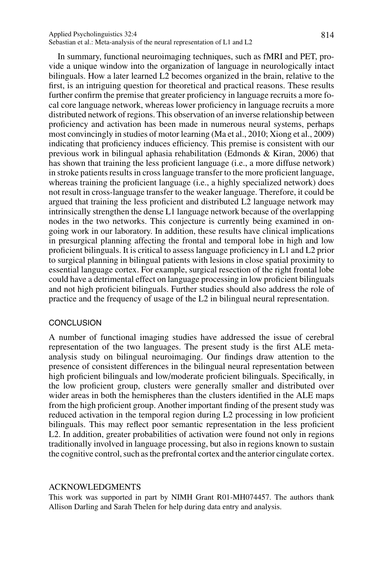#### Applied Psycholinguistics 32:4 814 Sebastian et al.: Meta-analysis of the neural representation of L1 and L2

In summary, functional neuroimaging techniques, such as fMRI and PET, provide a unique window into the organization of language in neurologically intact bilinguals. How a later learned L2 becomes organized in the brain, relative to the first, is an intriguing question for theoretical and practical reasons. These results further confirm the premise that greater proficiency in language recruits a more focal core language network, whereas lower proficiency in language recruits a more distributed network of regions. This observation of an inverse relationship between proficiency and activation has been made in numerous neural systems, perhaps most convincingly in studies of motor learning (Ma et al., 2010; Xiong et al., 2009) indicating that proficiency induces efficiency. This premise is consistent with our previous work in bilingual aphasia rehabilitation (Edmonds & Kiran, 2006) that has shown that training the less proficient language (i.e., a more diffuse network) in stroke patients results in cross language transfer to the more proficient language, whereas training the proficient language (i.e., a highly specialized network) does not result in cross-language transfer to the weaker language. Therefore, it could be argued that training the less proficient and distributed L2 language network may intrinsically strengthen the dense L1 language network because of the overlapping nodes in the two networks. This conjecture is currently being examined in ongoing work in our laboratory. In addition, these results have clinical implications in presurgical planning affecting the frontal and temporal lobe in high and low proficient bilinguals. It is critical to assess language proficiency in L1 and L2 prior to surgical planning in bilingual patients with lesions in close spatial proximity to essential language cortex. For example, surgical resection of the right frontal lobe could have a detrimental effect on language processing in low proficient bilinguals and not high proficient bilinguals. Further studies should also address the role of practice and the frequency of usage of the L2 in bilingual neural representation.

## **CONCLUSION**

A number of functional imaging studies have addressed the issue of cerebral representation of the two languages. The present study is the first ALE metaanalysis study on bilingual neuroimaging. Our findings draw attention to the presence of consistent differences in the bilingual neural representation between high proficient bilinguals and low/moderate proficient bilinguals. Specifically, in the low proficient group, clusters were generally smaller and distributed over wider areas in both the hemispheres than the clusters identified in the ALE maps from the high proficient group. Another important finding of the present study was reduced activation in the temporal region during L2 processing in low proficient bilinguals. This may reflect poor semantic representation in the less proficient L2. In addition, greater probabilities of activation were found not only in regions traditionally involved in language processing, but also in regions known to sustain the cognitive control, such as the prefrontal cortex and the anterior cingulate cortex.

#### ACKNOWLEDGMENTS

This work was supported in part by NIMH Grant R01-MH074457. The authors thank Allison Darling and Sarah Thelen for help during data entry and analysis.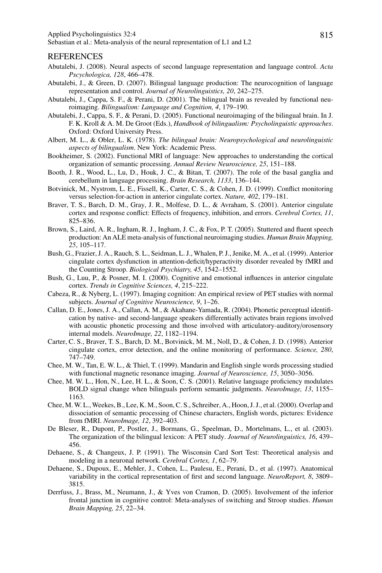#### REFERENCES

- Abutalebi, J. (2008). Neural aspects of second language representation and language control. *Acta Pscychologica, 128*, 466–478.
- Abutalebi, J., & Green, D. (2007). Bilingual language production: The neurocognition of language representation and control. *Journal of Neurolinguistics, 20*, 242–275.
- Abutalebi, J., Cappa, S. F., & Perani, D. (2001). The bilingual brain as revealed by functional neuroimaging. *Bilingualism: Language and Cognition, 4*, 179–190.
- Abutalebi, J., Cappa, S. F., & Perani, D. (2005). Functional neuroimaging of the bilingual brain. In J. F. K. Kroll & A. M. De Groot (Eds.), *Handbook of bilingualism: Psycholinguistic approaches*. Oxford: Oxford University Press.
- Albert, M. L., & Obler, L. K. (1978). *The bilingual brain: Neuropsychological and neurolinguistic aspects of bilingualism*. New York: Academic Press.
- Bookheimer, S. (2002). Functional MRI of language: New approaches to understanding the cortical organization of semantic processing. *Annual Review Neuroscience, 25*, 151–188.
- Booth, J. R., Wood, L., Lu, D., Houk, J. C., & Bitan, T. (2007). The role of the basal ganglia and cerebellum in language processing. *Brain Research, 1133*, 136–144.
- Botvinick, M., Nystrom, L. E., Fissell, K., Carter, C. S., & Cohen, J. D. (1999). Conflict monitoring versus selection-for-action in anterior cingulate cortex. *Nature, 402*, 179–181.
- Braver, T. S., Barch, D. M., Gray, J. R., Molfese, D. L., & Avraham, S. (2001). Anterior cingulate cortex and response conflict: Effects of frequency, inhibition, and errors. *Cerebral Cortex, 11*, 825–836.
- Brown, S., Laird, A. R., Ingham, R. J., Ingham, J. C., & Fox, P. T. (2005). Stuttered and fluent speech production: An ALE meta-analysis of functional neuroimaging studies. *Human Brain Mapping, 25*, 105–117.
- Bush, G., Frazier, J. A., Rauch, S. L., Seidman, L. J., Whalen, P. J., Jenike, M. A., et al. (1999). Anterior cingulate cortex dysfunction in attention-deficit/hyperactivity disorder revealed by fMRI and the Counting Stroop. *Biological Psychiatry, 45*, 1542–1552.
- Bush, G., Luu, P., & Posner, M. I. (2000). Cognitive and emotional influences in anterior cingulate cortex. *Trends in Cognitive Sciences, 4*, 215–222.
- Cabeza, R., & Nyberg, L. (1997). Imaging cognition: An empirical review of PET studies with normal subjects. *Journal of Cognitive Neuroscience, 9*, 1–26.
- Callan, D. E., Jones, J. A., Callan, A. M., & Akahane-Yamada, R. (2004). Phonetic perceptual identification by native- and second-language speakers differentially activates brain regions involved with acoustic phonetic processing and those involved with articulatory-auditory/orosensory internal models. *NeuroImage, 22*, 1182–1194.
- Carter, C. S., Braver, T. S., Barch, D. M., Botvinick, M. M., Noll, D., & Cohen, J. D. (1998). Anterior cingulate cortex, error detection, and the online monitoring of performance. *Science, 280*, 747–749.
- Chee, M. W., Tan, E. W. L., & Thiel, T. (1999). Mandarin and English single words processing studied with functional magnetic resonance imaging. *Journal of Neuroscience, 15*, 3050–3056.
- Chee, M. W. L., Hon, N., Lee, H. L., & Soon, C. S. (2001). Relative language proficiency modulates BOLD signal change when bilinguals perform semantic judgments. *NeuroImage, 13*, 1155– 1163.
- Chee, M. W. L., Weekes, B., Lee, K. M., Soon, C. S., Schreiber, A., Hoon, J. J., et al. (2000). Overlap and dissociation of semantic processing of Chinese characters, English words, pictures: Evidence from fMRI. *NeuroImage, 12*, 392–403.
- De Bleser, R., Dupont, P., Postler, J., Bormans, G., Speelman, D., Mortelmans, L., et al. (2003). The organization of the bilingual lexicon: A PET study. *Journal of Neurolinguistics, 16*, 439– 456.
- Dehaene, S., & Changeux, J. P. (1991). The Wisconsin Card Sort Test: Theoretical analysis and modeling in a neuronal network. *Cerebral Cortex, 1*, 62–79.
- Dehaene, S., Dupoux, E., Mehler, J., Cohen, L., Paulesu, E., Perani, D., et al. (1997). Anatomical variability in the cortical representation of first and second language. *NeuroReport, 8*, 3809– 3815.
- Derrfuss, J., Brass, M., Neumann, J., & Yves von Cramon, D. (2005). Involvement of the inferior frontal junction in cognitive control: Meta-analyses of switching and Stroop studies. *Human Brain Mapping, 25*, 22–34.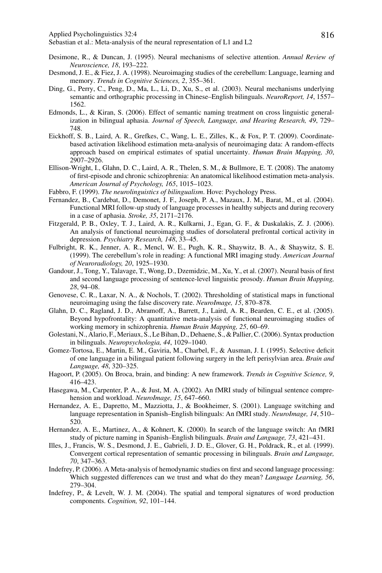Applied Psycholinguistics 32:4 816

- Desimone, R., & Duncan, J. (1995). Neural mechanisms of selective attention. *Annual Review of Neuroscience, 18*, 193–222.
- Desmond, J. E., & Fiez, J. A. (1998). Neuroimaging studies of the cerebellum: Language, learning and memory. *Trends in Cognitive Sciences, 2*, 355–361.
- Ding, G., Perry, C., Peng, D., Ma, L., Li, D., Xu, S., et al. (2003). Neural mechanisms underlying semantic and orthographic processing in Chinese–English bilinguals. *NeuroReport, 14*, 1557– 1562.
- Edmonds, L., & Kiran, S. (2006). Effect of semantic naming treatment on cross linguistic generalization in bilingual aphasia. *Journal of Speech, Language, and Hearing Research, 49*, 729– 748.
- Eickhoff, S. B., Laird, A. R., Grefkes, C., Wang, L. E., Zilles, K., & Fox, P. T. (2009). Coordinatebased activation likelihood estimation meta-analysis of neuroimaging data: A random-effects approach based on empirical estimates of spatial uncertainty. *Human Brain Mapping, 30*, 2907–2926.
- Ellison-Wright, I., Glahn, D. C., Laird, A. R., Thelen, S. M., & Bullmore, E. T. (2008). The anatomy of first-episode and chronic schizophrenia: An anatomical likelihood estimation meta-analysis. *American Journal of Psychology, 165*, 1015–1023.
- Fabbro, F. (1999). *The neurolinguistics of bilingualism*. Hove: Psychology Press.
- Fernandez, B., Cardebat, D., Demonet, J. F., Joseph, P. A., Mazaux, J. M., Barat, M., et al. (2004). Functional MRI follow-up study of language processes in healthy subjects and during recovery in a case of aphasia. *Stroke, 35*, 2171–2176.
- Fitzgerald, P. B., Oxley, T. J., Laird, A. R., Kulkarni, J., Egan, G. F., & Daskalakis, Z. J. (2006). An analysis of functional neuroimaging studies of dorsolateral prefrontal cortical activity in depression. *Psychiatry Research, 148*, 33–45.
- Fulbright, R. K., Jenner, A. R., Mencl, W. E., Pugh, K. R., Shaywitz, B. A., & Shaywitz, S. E. (1999). The cerebellum's role in reading: A functional MRI imaging study. *American Journal of Neuroradiology, 20*, 1925–1930.
- Gandour, J., Tong, Y., Talavage, T., Wong, D., Dzemidzic, M., Xu, Y., et al. (2007). Neural basis of first and second language processing of sentence-level linguistic prosody. *Human Brain Mapping, 28*, 94–08.
- Genovese, C. R., Laxar, N. A., & Nochols, T. (2002). Thresholding of statistical maps in functional neuroimaging using the false discovery rate. *NeuroImage, 15*, 870–878.
- Glahn, D. C., Ragland, J. D., Abramoff, A., Barrett, J., Laird, A. R., Bearden, C. E., et al. (2005). Beyond hypofrontality: A quantitative meta-analysis of functional neuroimaging studies of working memory in schizophrenia. *Human Brain Mapping, 25*, 60–69.
- Golestani, N., Alario, F., Meriaux, S., Le Bihan, D., Dehaene, S., & Pallier, C. (2006). Syntax production in bilinguals. *Neuropsychologia, 44*, 1029–1040.
- Gomez-Tortosa, E., Martin, E. M., Gaviria, M., Charbel, F., & Ausman, J. I. (1995). Selective deficit of one language in a bilingual patient following surgery in the left perisylvian area. *Brain and Language, 48*, 320–325.
- Hagoort, P. (2005). On Broca, brain, and binding: A new framework. *Trends in Cognitive Science, 9*, 416–423.
- Hasegawa, M., Carpenter, P. A., & Just, M. A. (2002). An fMRI study of bilingual sentence comprehension and workload. *NeuroImage, 15*, 647–660.
- Hernandez, A. E., Dapretto, M., Mazziotta, J., & Bookheimer, S. (2001). Language switching and language representation in Spanish–English bilinguals: An fMRI study. *NeuroImage, 14*, 510– 520.
- Hernandez, A. E., Martinez, A., & Kohnert, K. (2000). In search of the language switch: An fMRI study of picture naming in Spanish–English bilinguals. *Brain and Language, 73*, 421–431.
- Illes, J., Francis, W. S., Desmond, J. E., Gabrieli, J. D. E., Glover, G. H., Poldrack, R., et al. (1999). Convergent cortical representation of semantic processing in bilinguals. *Brain and Language, 70*, 347–363.
- Indefrey, P. (2006). A Meta-analysis of hemodynamic studies on first and second language processing: Which suggested differences can we trust and what do they mean? *Language Learning, 56*, 279–304.
- Indefrey, P., & Levelt, W. J. M. (2004). The spatial and temporal signatures of word production components. *Cognition, 92*, 101–144.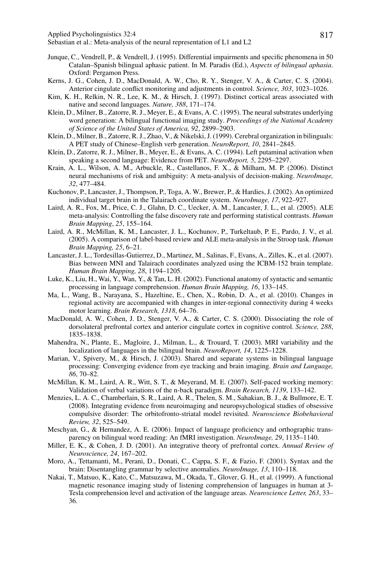Applied Psycholinguistics 32:4 817

- Junque, C., Vendrell, P., & Vendrell, J. (1995). Differential impairments and specific phenomena in 50 Catalan–Spanish bilingual aphasic patient. In M. Paradis (Ed.), *Aspects of bilingual aphasia*. Oxford: Pergamon Press.
- Kerns, J. G., Cohen, J. D., MacDonald, A. W., Cho, R. Y., Stenger, V. A., & Carter, C. S. (2004). Anterior cingulate conflict monitoring and adjustments in control. *Science, 303*, 1023–1026.
- Kim, K. H., Relkin, N. R., Lee, K. M., & Hirsch, J. (1997). Distinct cortical areas associated with native and second languages. *Nature, 388*, 171–174.
- Klein, D., Milner, B., Zatorre, R. J., Meyer, E., & Evans, A. C. (1995). The neural substrates underlying word generation: A bilingual functional imaging study. *Proceedings of the National Academy of Science of the United States of America, 92*, 2899–2903.
- Klein, D., Milner, B., Zatorre, R. J., Zhao, V., & Nikelski, J. (1999). Cerebral organization in bilinguals: A PET study of Chinese–English verb generation. *NeuroReport, 10*, 2841–2845.
- Klein, D., Zatorre, R. J., Milner, B., Meyer, E., & Evans, A. C. (1994). Left putaminal activation when speaking a second language: Evidence from PET. *NeuroReport, 5*, 2295–2297.
- Krain, A. L., Wilson, A. M., Arbuckle, R., Castellanos, F. X., & Milham, M. P. (2006). Distinct neural mechanisms of risk and ambiguity: A meta-analysis of decision-making. *NeuroImage, 32*, 477–484.
- Kuchonov, P., Lancaster, J., Thompson, P., Toga, A. W., Brewer, P., & Hardies, J. (2002). An optimized individual target brain in the Talairach coordinate system. *NeuroImage, 17*, 922–927.
- Laird, A. R., Fox, M., Price, C. J., Glahn, D. C., Uecker, A. M., Lancaster, J. L., et al. (2005). ALE meta-analysis: Controlling the false discovery rate and performing statistical contrasts. *Human Brain Mapping*, *25*, 155–164.
- Laird, A. R., McMillan, K. M., Lancaster, J. L., Kochunov, P., Turkeltaub, P. E., Pardo, J. V., et al. (2005). A comparison of label-based review and ALE meta-analysis in the Stroop task. *Human Brain Mapping, 25*, 6–21.
- Lancaster, J. L., Tordesillas-Gutierrez, D., Martinez, M., Salinas, F., Evans, A., Zilles, K., et al. (2007). Bias between MNI and Talairach coordinates analyzed using the ICBM-152 brain template. *Human Brain Mapping, 28*, 1194–1205.
- Luke, K., Liu, H., Wai, Y., Wan, Y., & Tan, L. H. (2002). Functional anatomy of syntactic and semantic processing in language comprehension. *Human Brain Mapping, 16*, 133–145.
- Ma, L., Wang, B., Narayana, S., Hazeltine, E., Chen, X., Robin, D. A., et al. (2010). Changes in regional activity are accompanied with changes in inter-regional connectivity during 4 weeks motor learning. *Brain Research, 1318*, 64–76.
- MacDonald, A. W., Cohen, J. D., Stenger, V. A., & Carter, C. S. (2000). Dissociating the role of dorsolateral prefrontal cortex and anterior cingulate cortex in cognitive control. *Science, 288*, 1835–1838.
- Mahendra, N., Plante, E., Magloire, J., Milman, L., & Trouard, T. (2003). MRI variability and the localization of languages in the bilingual brain. *NeuroReport, 14*, 1225–1228.
- Marian, V., Spivery, M., & Hirsch, J. (2003). Shared and separate systems in bilingual language processing: Converging evidence from eye tracking and brain imaging. *Brain and Language, 86*, 70–82.
- McMillan, K. M., Laird, A. R., Witt, S. T., & Meyerand, M. E. (2007). Self-paced working memory: Validation of verbal variations of the n-back paradigm. *Brain Research, 1139*, 133–142.
- Menzies, L. A. C., Chamberlain, S. R., Laird, A. R., Thelen, S. M., Sahakian, B. J., & Bullmore, E. T. (2008). Integrating evidence from neuroimaging and neuropsychological studies of obsessive compulsive disorder: The orbitofronto-striatal model revisited. *Neuroscience Biobehavioral Review, 32*, 525–549.
- Meschyan, G., & Hernandez, A. E. (2006). Impact of language proficiency and orthographic transparency on bilingual word reading: An fMRI investigation. *NeuroImage, 29*, 1135–1140.
- Miller, E. K., & Cohen, J. D. (2001). An integrative theory of prefrontal cortex. *Annual Review of Neuroscience, 24*, 167–202.
- Moro, A., Tettamanti, M., Perani, D., Donati, C., Cappa, S. F., & Fazio, F. (2001). Syntax and the brain: Disentangling grammar by selective anomalies. *NeuroImage, 13*, 110–118.
- Nakai, T., Matsuo, K., Kato, C., Matsuzawa, M., Okada, T., Glover, G. H., et al. (1999). A functional magnetic resonance imaging study of listening comprehension of languages in human at 3- Tesla comprehension level and activation of the language areas. *Neuroscience Letter, 263*, 33– 36.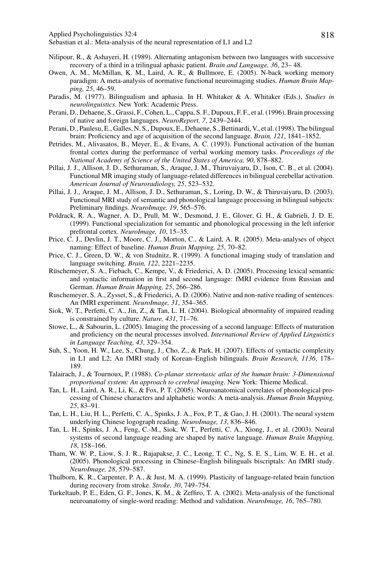Applied Psycholinguistics 32:4 818

- Nilipour, R., & Ashayeri, H. (1989). Alternating antagonism between two languages with successive recovery of a third in a trilingual aphasic patient. *Brain and Language, 36*, 23– 48.
- Owen, A. M., McMillan, K. M., Laird, A. R., & Bullmore, E. (2005). N-back working memory paradigm: A meta-analysis of normative functional neuroimaging studies. *Human Brain Mapping, 25*, 46–59.
- Paradis, M. (1977). Bilingualism and aphasia. In H. Whitaker & A. Whitaker (Eds.), *Studies in neurolinguistics*. New York: Academic Press.
- Perani, D., Dehaene, S., Grassi, F., Cohen, L., Cappa, S. F., Dupoux, F. F., et al. (1996). Brain processing of native and foreign languages. *NeuroReport, 7*, 2439–2444.
- Perani, D., Paulesu, E., Galles, N. S., Dupoux, E., Dehaene, S., Bettinardi, V., et al. (1998). The bilingual brain: Proficiency and age of acquisition of the second language. *Brain, 121*, 1841–1852.
- Petrides, M., Alivasatos, B., Meyer, E., & Evans, A. C. (1993). Functional activation of the human frontal cortex during the performance of verbal working memory tasks. *Proceedings of the National Academy of Science of the United States of America, 90*, 878–882.
- Pillai, J. J., Allison, J. D., Sethuraman, S., Araque, J. M., Thiruvaiyaru, D., Ison, C. B., et al. (2004). Functional MR imaging study of language-related differences in bilingual cerebellar activation. *American Journal of Neuroradiology, 25*, 523–532.
- Pillai, J. J., Araque, J. M., Allison, J. D., Sethuraman, S., Loring, D. W., & Thiruvaiyaru, D. (2003). Functional MRI study of semantic and phonological language processing in bilingual subjects: Preliminary findings. *NeuroImage, 19*, 565–576.
- Poldrack, R. A., Wagner, A. D., Prull, M. W., Desmond, J. E., Glover, G. H., & Gabrieli, J. D. E. (1999). Functional specialization for semantic and phonological processing in the left inferior prefrontal cortex. *NeuroImage, 10*, 15–35.
- Price, C. J., Devlin, J. T., Moore, C. J., Morton, C., & Laird, A. R. (2005). Meta-analyses of object naming: Effect of baseline. *Human Brain Mapping, 25*, 70–82.
- Price, C. J., Green, D. W., & von Studnitz, R. (1999). A functional imaging study of translation and language switching. *Brain, 122*, 2221–2235.
- Rüschemeyer, S. A., Fiebach, C., Kempe, V., & Friederici, A. D. (2005). Processing lexical semantic and syntactic information in first and second language: fMRI evidence from Russian and German. *Human Brain Mapping, 25*, 266–286.
- Ruschemeyer, S. A., Zysset, S., & Friederici, A. D. (2006). Native and non-native reading of sentences: An fMRI experiment. *NeuroImage, 31*, 354–365.
- Siok, W. T., Perfetti, C. A., Jin, Z., & Tan, L. H. (2004). Biological abnormality of impaired reading is constrained by culture. *Nature, 431*, 71–76.
- Stowe, L., & Sabourin, L. (2005). Imaging the processing of a second language: Effects of maturation and proficiency on the neural processes involved. *International Review of Applied Linguistics in Language Teaching, 43*, 329–354.
- Suh, S., Yoon, H. W., Lee, S., Chung, J., Cho, Z., & Park, H. (2007). Effects of syntactic complexity in L1 and L2; An fMRI study of Korean–English bilinguals. *Brain Research, 1136*, 178– 189.
- Talairach, J., & Tournoux, P. (1988). *Co-planar stereotaxic atlas of the human brain: 3-Dimensional proportional system: An approach to cerebral imaging*. New York: Thieme Medical.
- Tan, L. H., Laird, A. R., Li, K., & Fox, P. T. (2005). Neuroanatomical correlates of phonological processing of Chinese characters and alphabetic words: A meta-analysis. *Human Brain Mapping, 25*, 83–91.
- Tan, L. H., Liu, H. L., Perfetti, C. A., Spinks, J. A., Fox, P. T., & Gao, J. H. (2001). The neural system underlying Chinese logograph reading. *NeuroImage, 13*, 836–846.
- Tan, L. H., Spinks, J. A., Feng, C.-M., Siok, W. T., Perfetti, C. A., Xiong, J., et al. (2003). Neural systems of second language reading are shaped by native language. *Human Brain Mapping, 18*, 158–166.
- Tham, W. W. P., Liow, S. J. R., Rajapakse, J. C., Leong, T. C., Ng, S. E. S., Lim, W. E. H., et al. (2005). Phonological processing in Chinese–English bilinguals biscriptals: An fMRI study. *NeuroImage, 28*, 579–587.
- Thulborn, K. R., Carpenter, P. A., & Just, M. A. (1999). Plasticity of language-related brain function during recovery from stroke. *Stroke, 30*, 749–754.
- Turkeltaub, P. E., Eden, G. F., Jones, K. M., & Zeffiro, T. A. (2002). Meta-analysis of the functional neuroanatomy of single-word reading: Method and validation. *NeuroImage, 16*, 765–780.